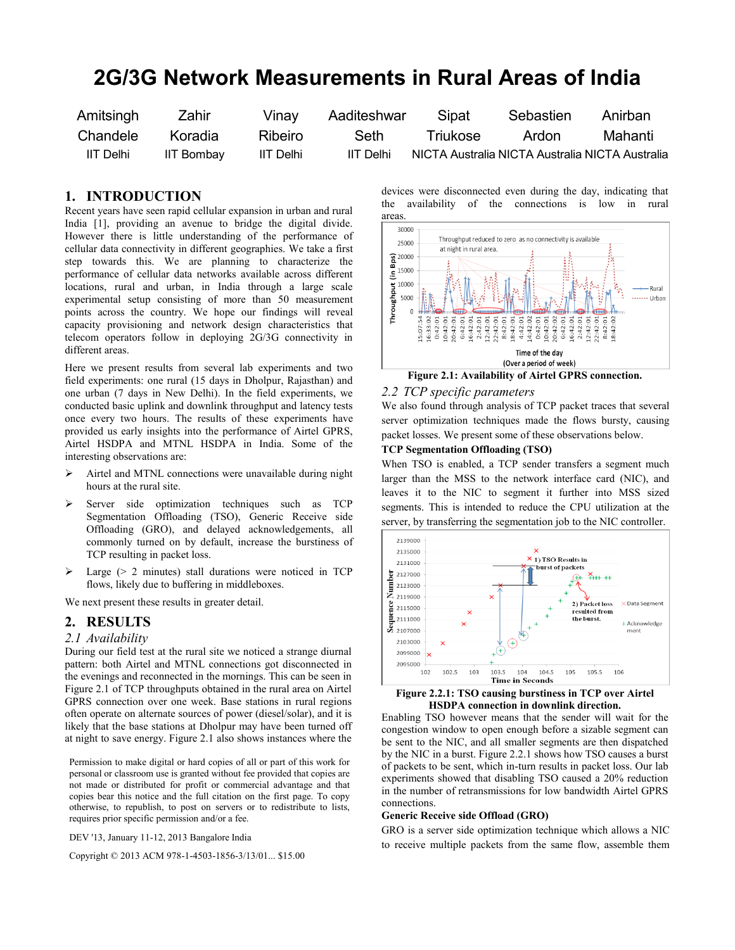# **2G/3G Network Measurements in Rural Areas of India**

| Amitsingh | Zahir             | Vinay          | Aaditeshwar | Sipat    | Sebastien                                       | Anirban |
|-----------|-------------------|----------------|-------------|----------|-------------------------------------------------|---------|
| Chandele  | Koradia           | <b>Ribeiro</b> | Seth        | Triukose | Ardon                                           | Mahanti |
| IIT Delhi | <b>IIT Bombay</b> | IIT Delhi      | IIT Delhi   |          | NICTA Australia NICTA Australia NICTA Australia |         |

## **1. INTRODUCTION**

Recent years have seen rapid cellular expansion in urban and rural India [1], providing an avenue to bridge the digital divide. However there is little understanding of the performance of cellular data connectivity in different geographies. We take a first step towards this. We are planning to characterize the performance of cellular data networks available across different locations, rural and urban, in India through a large scale experimental setup consisting of more than 50 measurement points across the country. We hope our findings will reveal capacity provisioning and network design characteristics that telecom operators follow in deploying 2G/3G connectivity in different areas.

Here we present results from several lab experiments and two field experiments: one rural (15 days in Dholpur, Rajasthan) and one urban (7 days in New Delhi). In the field experiments, we conducted basic uplink and downlink throughput and latency tests once every two hours. The results of these experiments have provided us early insights into the performance of Airtel GPRS, Airtel HSDPA and MTNL HSDPA in India. Some of the interesting observations are:

- $\triangleright$  Airtel and MTNL connections were unavailable during night hours at the rural site.
- Server side optimization techniques such as TCP Segmentation Offloading (TSO), Generic Receive side Offloading (GRO), and delayed acknowledgements, all commonly turned on by default, increase the burstiness of TCP resulting in packet loss.
- $\triangleright$  Large ( $> 2$  minutes) stall durations were noticed in TCP flows, likely due to buffering in middleboxes.

We next present these results in greater detail.

## **2. RESULTS**

#### *2.1 Availability*

During our field test at the rural site we noticed a strange diurnal pattern: both Airtel and MTNL connections got disconnected in the evenings and reconnected in the mornings. This can be seen in Figure 2.1 of TCP throughputs obtained in the rural area on Airtel GPRS connection over one week. Base stations in rural regions often operate on alternate sources of power (diesel/solar), and it is likely that the base stations at Dholpur may have been turned off at night to save energy. Figure 2.1 also shows instances where the

Permission to make digital or hard copies of all or part of this work for personal or classroom use is granted without fee provided that copies are not made or distributed for profit or commercial advantage and that copies bear this notice and the full citation on the first page. To copy otherwise, to republish, to post on servers or to redistribute to lists, requires prior specific permission and/or a fee.

DEV '13, January 11-12, 2013 Bangalore India

Copyright © 2013 ACM 978-1-4503-1856-3/13/01... \$15.00

devices were disconnected even during the day, indicating that the availability of the connections is low in rural areas.





#### *2.2 TCP specific parameters*

We also found through analysis of TCP packet traces that several server optimization techniques made the flows bursty, causing packet losses. We present some of these observations below.

## **TCP Segmentation Offloading (TSO)**

When TSO is enabled, a TCP sender transfers a segment much larger than the MSS to the network interface card (NIC), and leaves it to the NIC to segment it further into MSS sized segments. This is intended to reduce the CPU utilization at the server, by transferring the segmentation job to the NIC controller.



**Figure 2.2.1: TSO causing burstiness in TCP over Airtel HSDPA connection in downlink direction.**

Enabling TSO however means that the sender will wait for the congestion window to open enough before a sizable segment can be sent to the NIC, and all smaller segments are then dispatched by the NIC in a burst. Figure 2.2.1 shows how TSO causes a burst of packets to be sent, which in-turn results in packet loss. Our lab experiments showed that disabling TSO caused a 20% reduction in the number of retransmissions for low bandwidth Airtel GPRS connections.

#### **Generic Receive side Offload (GRO)**

GRO is a server side optimization technique which allows a NIC to receive multiple packets from the same flow, assemble them